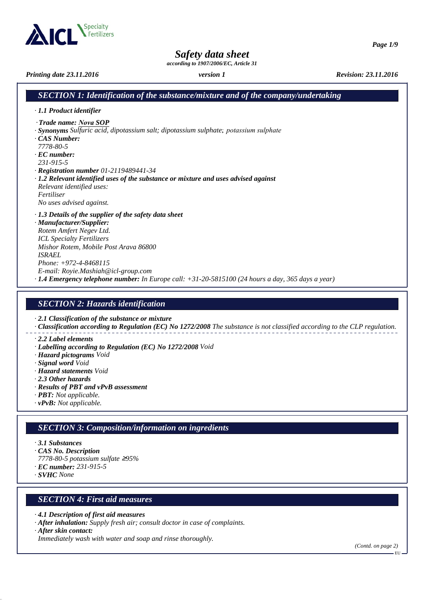

*Safety data sheet*

*according to 1907/2006/EC, Article 31*

*Printing date 23.11.2016 version 1 Revision: 23.11.2016*

## *SECTION 1: Identification of the substance/mixture and of the company/undertaking*

- *· 1.1 Product identifier*
- *Trade name: Nova SOP* ·
- *· Synonyms Sulfuric acid, dipotassium salt; dipotassium sulphate. , potassium sulphate .*
- *· CAS Number:*
- *7778-80-5*
- *· EC number:*
- *231-915-5*
- *· Registration number 01-2119489441-34*
- *· 1.2 Relevant identified uses of the substance or mixture and uses advised against Relevant identified uses: Fertiliser*

*No uses advised against.*

- *· 1.3 Details of the supplier of the safety data sheet*
- *· Manufacturer/Supplier: Rotem Amfert Negev Ltd. ICL Specialty Fertilizers Mishor Rotem, Mobile Post Arava 86800 ISRAEL Phone: +972-4-8468115 E-mail: Royie.Mashiah@icl-group.com · 1.4 Emergency telephone number: In Europe call: +31-20-5815100 (24 hours a day, 365 days a year)*

## *SECTION 2: Hazards identification*

*· 2.1 Classification of the substance or mixture*

*· Classification according to Regulation (EC) No 1272/2008 The substance is not classified according to the CLP regulation.*

- *· 2.2 Label elements*
- *· Labelling according to Regulation (EC) No 1272/2008 Void*
- *· Hazard pictograms Void*
- *· Signal word Void*
- *· Hazard statements Void*
- *· 2.3 Other hazards*
- *· Results of PBT and vPvB assessment*
- *· PBT: Not applicable.*
- *· vPvB: Not applicable.*

# *SECTION 3: Composition/information on ingredients*

- *· 3.1 Substances*
- *· CAS No. Description*
- *7778-80-5 potassium sulfate* ≥*95%*
- *· EC number: 231-915-5*
- *· SVHC None*

# *SECTION 4: First aid measures*

- *· 4.1 Description of first aid measures*
- *· After inhalation: Supply fresh air; consult doctor in case of complaints.*
- *· After skin contact:*

*Immediately wash with water and soap and rinse thoroughly.*

 $E_{\rm HL}$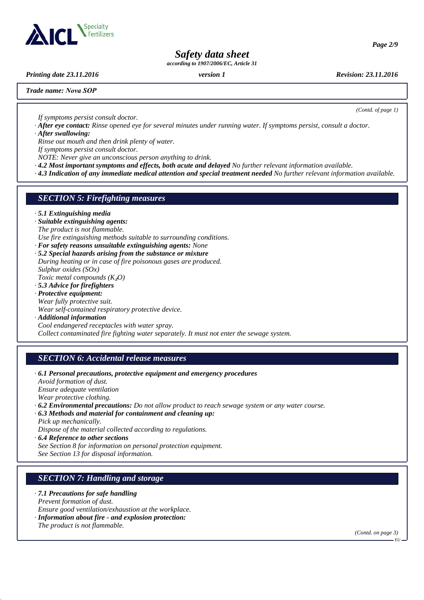

*Page 2/9*

# *Safety data sheet*

*according to 1907/2006/EC, Article 31*

*Printing date 23.11.2016 version 1 Revision: 23.11.2016*

*(Contd. of page 1)*

*Trade name: Nova SOP*

*If symptoms persist consult doctor.*

*· After eye contact: Rinse opened eye for several minutes under running water. If symptoms persist, consult a doctor. · After swallowing:*

*Rinse out mouth and then drink plenty of water.*

*If symptoms persist consult doctor.*

*NOTE: Never give an unconscious person anything to drink.*

*· 4.2 Most important symptoms and effects, both acute and delayed No further relevant information available.*

*· 4.3 Indication of any immediate medical attention and special treatment needed No further relevant information available.*

### *SECTION 5: Firefighting measures*

*· 5.1 Extinguishing media*

- *· Suitable extinguishing agents: The product is not flammable. Use fire extinguishing methods suitable to surrounding conditions.*
- *· For safety reasons unsuitable extinguishing agents: None*
- *· 5.2 Special hazards arising from the substance or mixture During heating or in case of fire poisonous gases are produced. Sulphur oxides (SOx)*

*Toxic metal compounds (K*₂*O)*

- *· 5.3 Advice for firefighters · Protective equipment: Wear fully protective suit. Wear self-contained respiratory protective device.*
- *· Additional information Cool endangered receptacles with water spray. Collect contaminated fire fighting water separately. It must not enter the sewage system.*

## *SECTION 6: Accidental release measures*

*· 6.1 Personal precautions, protective equipment and emergency procedures Avoid formation of dust. Ensure adequate ventilation Wear protective clothing. · 6.2 Environmental precautions: Do not allow product to reach sewage system or any water course. · 6.3 Methods and material for containment and cleaning up: Pick up mechanically.*

*Dispose of the material collected according to regulations.*

*· 6.4 Reference to other sections*

*See Section 8 for information on personal protection equipment.*

*See Section 13 for disposal information.*

## *SECTION 7: Handling and storage*

*· 7.1 Precautions for safe handling*

*Prevent formation of dust.*

*Ensure good ventilation/exhaustion at the workplace.*

*· Information about fire - and explosion protection:*

*The product is not flammable.*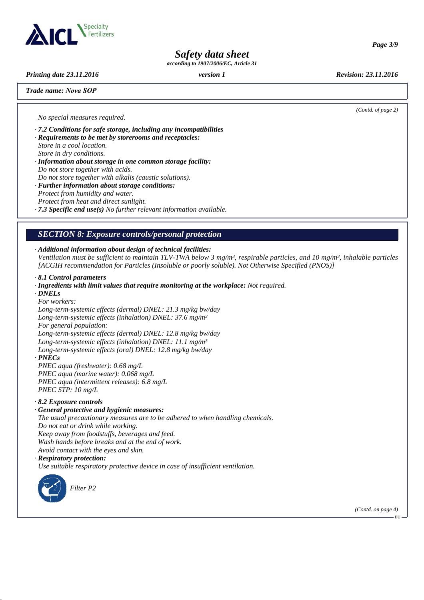

*Safety data sheet*

*according to 1907/2006/EC, Article 31*

*Printing date 23.11.2016 version 1 Revision: 23.11.2016*

*Trade name: Nova SOP*

*(Contd. of page 2)*

*Page 3/9*

*No special measures required.*

*· 7.2 Conditions for safe storage, including any incompatibilities*

- *· Requirements to be met by storerooms and receptacles: Store in a cool location. Store in dry conditions.*
- *· Information about storage in one common storage facility: Do not store together with acids.*
- *Do not store together with alkalis (caustic solutions).*
- *· Further information about storage conditions: Protect from humidity and water.*
- *Protect from heat and direct sunlight.*

*· 7.3 Specific end use(s) No further relevant information available.*

# *SECTION 8: Exposure controls/personal protection*

*· Additional information about design of technical facilities:*

*Ventilation must be sufficient to maintain TLV-TWA below 3 mg/m³, respirable particles, and 10 mg/m³, inhalable particles [ACGIH recommendation for Particles (Insoluble or poorly soluble). Not Otherwise Specified (PNOS)]*

- *· 8.1 Control parameters*
- *· Ingredients with limit values that require monitoring at the workplace: Not required.*
- *· DNELs*

*For workers: Long-term-systemic effects (dermal) DNEL: 21.3 mg/kg bw/day Long-term-systemic effects (inhalation) DNEL: 37.6 mg/m³ For general population: Long-term-systemic effects (dermal) DNEL: 12.8 mg/kg bw/day Long-term-systemic effects (inhalation) DNEL: 11.1 mg/m³*

*Long-term-systemic effects (oral) DNEL: 12.8 mg/kg bw/day*

*· PNECs*

*PNEC aqua (freshwater): 0.68 mg/L*

*PNEC aqua (marine water): 0.068 mg/L PNEC aqua (intermittent releases): 6.8 mg/L PNEC STP: 10 mg/L*

- *· 8.2 Exposure controls*
- *· General protective and hygienic measures:*

*The usual precautionary measures are to be adhered to when handling chemicals.*

*Do not eat or drink while working.*

*Keep away from foodstuffs, beverages and feed.*

*Wash hands before breaks and at the end of work.*

- *Avoid contact with the eyes and skin.*
- *· Respiratory protection:*

*Use suitable respiratory protective device in case of insufficient ventilation.*



*(Contd. on page 4)*

EU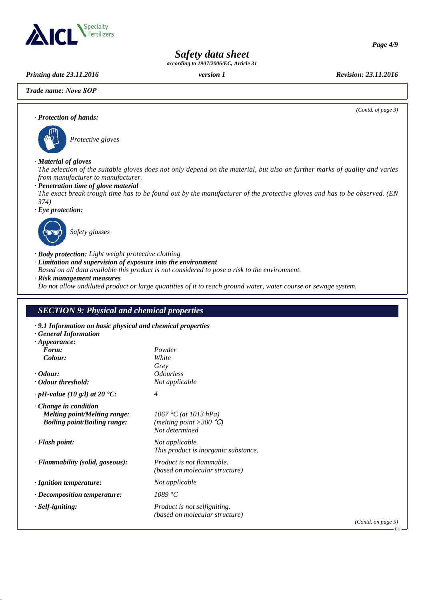

*Page 4/9*

# *Safety data sheet*

*according to 1907/2006/EC, Article 31*

*Printing date 23.11.2016 version 1 Revision: 23.11.2016*

*Trade name: Nova SOP*



# *SECTION 9: Physical and chemical properties*

| $\cdot$ 9.1 Information on basic physical and chemical properties     |                         |
|-----------------------------------------------------------------------|-------------------------|
|                                                                       |                         |
|                                                                       |                         |
| Powder                                                                |                         |
|                                                                       |                         |
| Grey                                                                  |                         |
| <i><u><b>Odourless</b></u></i>                                        |                         |
|                                                                       |                         |
| $\overline{4}$                                                        |                         |
| $1067 °C$ (at 1013 hPa)<br>(melting point > 300 °C)<br>Not determined |                         |
| Not applicable.<br>This product is inorganic substance.               |                         |
| Product is not flammable.<br>(based on molecular structure)           |                         |
| Not applicable                                                        |                         |
| 1089 °C                                                               |                         |
| Product is not selfigniting.<br>(based on molecular structure)        |                         |
|                                                                       | (Cc)                    |
|                                                                       | White<br>Not applicable |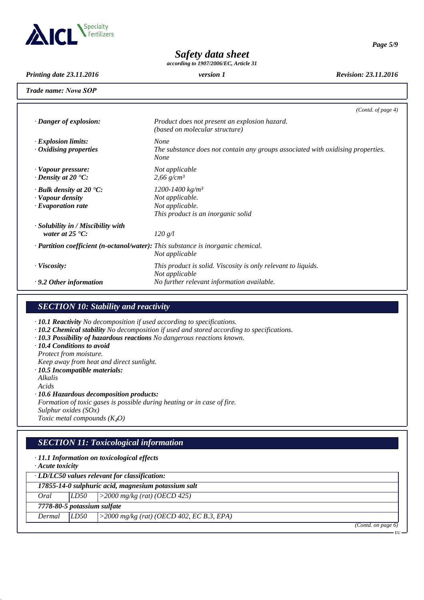

*Page 5/9*

*Safety data sheet*

*according to 1907/2006/EC, Article 31*

*Printing date 23.11.2016 version 1 Revision: 23.11.2016*

*Trade name: Nova SOP*

|                                                                                               | (Contd. of page $4$ )                                                                                         |
|-----------------------------------------------------------------------------------------------|---------------------------------------------------------------------------------------------------------------|
| $\cdot$ Danger of explosion:                                                                  | Product does not present an explosion hazard.<br>(based on molecular structure)                               |
| $\cdot$ Explosion limits:<br>$\cdot$ Oxidising properties                                     | <b>None</b><br>The substance does not contain any groups associated with oxidising properties.<br><b>None</b> |
| · Vapour pressure:<br>$\cdot$ Density at 20 $\cdot$ C:                                        | Not applicable<br>$2,66$ g/cm <sup>3</sup>                                                                    |
| $\cdot$ Bulk density at 20 $\textdegree$ C:<br>· Vapour density<br>$\cdot$ Evaporation rate   | 1200-1400 kg/m <sup>3</sup><br>Not applicable.<br>Not applicable.<br>This product is an inorganic solid       |
| · Solubility in / Miscibility with<br>water at $25 \text{ }^{\circ}C$ :                       | 120 g/l                                                                                                       |
| $\cdot$ <b>Partition coefficient (n-octanol/water):</b> This substance is inorganic chemical. | Not applicable                                                                                                |
| · Viscosity:                                                                                  | This product is solid. Viscosity is only relevant to liquids.<br>Not applicable                               |
| $\cdot$ 9.2 Other information                                                                 | No further relevant information available.                                                                    |

# *SECTION 10: Stability and reactivity*

*· 10.1 Reactivity No decomposition if used according to specifications.*

- *· 10.2 Chemical stability No decomposition if used and stored according to specifications.*
- *· 10.3 Possibility of hazardous reactions No dangerous reactions known.*
- *· 10.4 Conditions to avoid*
- *Protect from moisture.*
- *Keep away from heat and direct sunlight.*
- *· 10.5 Incompatible materials:*
- *Alkalis Acids*

*· 10.6 Hazardous decomposition products:*

*Formation of toxic gases is possible during heating or in case of fire. Sulphur oxides (SOx) Toxic metal compounds (K*₂*O)*

# *SECTION 11: Toxicological information*

| $\cdot$ 11.1 Information on toxicological effects<br>$\cdot$ Acute toxicity |      |                                              |  |  |  |
|-----------------------------------------------------------------------------|------|----------------------------------------------|--|--|--|
| $\cdot$ LD/LC50 values relevant for classification:                         |      |                                              |  |  |  |
| 17855-14-0 sulphuric acid, magnesium potassium salt                         |      |                                              |  |  |  |
| Oral                                                                        | LD50 | $ >2000$ mg/kg (rat) (OECD 425)              |  |  |  |
| 7778-80-5 potassium sulfate                                                 |      |                                              |  |  |  |
| Dermal                                                                      | LD50 | $>$ 2000 mg/kg (rat) (OECD 402, EC B.3, EPA) |  |  |  |
|                                                                             |      | $(0, 1)$ $(1, 1)$                            |  |  |  |

*(Contd. on page 6)* EU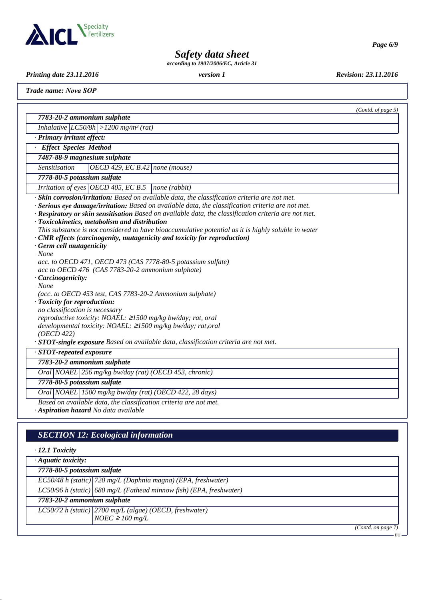

*Page 6/9*

# *Safety data sheet*

*according to 1907/2006/EC, Article 31*

*Printing date 23.11.2016 version 1 Revision: 23.11.2016*

*Trade name: Nova SOP*

|                                                                                                                                                                                                                                                                                                                                                                                                                                                                                                                                                                                                                                                                                                                                                                                                                                                                                                                                                                                                                                    | (Contd. of page $5$ ) |
|------------------------------------------------------------------------------------------------------------------------------------------------------------------------------------------------------------------------------------------------------------------------------------------------------------------------------------------------------------------------------------------------------------------------------------------------------------------------------------------------------------------------------------------------------------------------------------------------------------------------------------------------------------------------------------------------------------------------------------------------------------------------------------------------------------------------------------------------------------------------------------------------------------------------------------------------------------------------------------------------------------------------------------|-----------------------|
| 7783-20-2 ammonium sulphate                                                                                                                                                                                                                                                                                                                                                                                                                                                                                                                                                                                                                                                                                                                                                                                                                                                                                                                                                                                                        |                       |
| Inhalative $ LC50/8h  > 1200$ mg/m <sup>3</sup> (rat)                                                                                                                                                                                                                                                                                                                                                                                                                                                                                                                                                                                                                                                                                                                                                                                                                                                                                                                                                                              |                       |
| · Primary irritant effect:                                                                                                                                                                                                                                                                                                                                                                                                                                                                                                                                                                                                                                                                                                                                                                                                                                                                                                                                                                                                         |                       |
| <b>Effect Species Method</b>                                                                                                                                                                                                                                                                                                                                                                                                                                                                                                                                                                                                                                                                                                                                                                                                                                                                                                                                                                                                       |                       |
| 7487-88-9 magnesium sulphate                                                                                                                                                                                                                                                                                                                                                                                                                                                                                                                                                                                                                                                                                                                                                                                                                                                                                                                                                                                                       |                       |
| OECD 429, EC B.42   none (mouse)<br><b>Sensitisation</b>                                                                                                                                                                                                                                                                                                                                                                                                                                                                                                                                                                                                                                                                                                                                                                                                                                                                                                                                                                           |                       |
| 7778-80-5 potassium sulfate                                                                                                                                                                                                                                                                                                                                                                                                                                                                                                                                                                                                                                                                                                                                                                                                                                                                                                                                                                                                        |                       |
| Irritation of eyes OECD 405, EC B.5<br> none (rabbit)                                                                                                                                                                                                                                                                                                                                                                                                                                                                                                                                                                                                                                                                                                                                                                                                                                                                                                                                                                              |                       |
| $\overline{\cdot}$ Skin corrosion/irritation: Based on available data, the classification criteria are not met.<br>· Serious eye damage/irritation: Based on available data, the classification criteria are not met.<br>· Respiratory or skin sensitisation Based on available data, the classification criteria are not met.<br>· Toxicokinetics, metabolism and distribution<br>This substance is not considered to have bioaccumulative potential as it is highly soluble in water<br>· CMR effects (carcinogenity, mutagenicity and toxicity for reproduction)<br>· Germ cell mutagenicity<br>None<br>acc. to OECD 471, OECD 473 (CAS 7778-80-5 potassium sulfate)<br>acc to OECD 476 (CAS 7783-20-2 ammonium sulphate)<br>Carcinogenicity:<br>None<br>(acc. to OECD 453 test, CAS 7783-20-2 Ammonium sulphate)<br>· Toxicity for reproduction:<br>no classification is necessary<br>reproductive toxicity: NOAEL: ≥1500 mg/kg bw/day; rat, oral<br>developmental toxicity: NOAEL: ≥1500 mg/kg bw/day; rat,oral<br>(OECD 422) |                       |
| · STOT-single exposure Based on available data, classification criteria are not met.<br>$\cdot$ STOT-repeated exposure                                                                                                                                                                                                                                                                                                                                                                                                                                                                                                                                                                                                                                                                                                                                                                                                                                                                                                             |                       |
| 7783-20-2 ammonium sulphate                                                                                                                                                                                                                                                                                                                                                                                                                                                                                                                                                                                                                                                                                                                                                                                                                                                                                                                                                                                                        |                       |
| Oral NOAEL 256 mg/kg bw/day (rat) (OECD 453, chronic)                                                                                                                                                                                                                                                                                                                                                                                                                                                                                                                                                                                                                                                                                                                                                                                                                                                                                                                                                                              |                       |
| 7778-80-5 potassium sulfate                                                                                                                                                                                                                                                                                                                                                                                                                                                                                                                                                                                                                                                                                                                                                                                                                                                                                                                                                                                                        |                       |
| Oral NOAEL 1500 mg/kg bw/day (rat) (OECD 422, 28 days)                                                                                                                                                                                                                                                                                                                                                                                                                                                                                                                                                                                                                                                                                                                                                                                                                                                                                                                                                                             |                       |
| Based on available data, the classification criteria are not met.<br>· Aspiration hazard No data available                                                                                                                                                                                                                                                                                                                                                                                                                                                                                                                                                                                                                                                                                                                                                                                                                                                                                                                         |                       |
|                                                                                                                                                                                                                                                                                                                                                                                                                                                                                                                                                                                                                                                                                                                                                                                                                                                                                                                                                                                                                                    |                       |
| <b>SECTION 12: Ecological information</b>                                                                                                                                                                                                                                                                                                                                                                                                                                                                                                                                                                                                                                                                                                                                                                                                                                                                                                                                                                                          |                       |
| $\cdot$ 12.1 Toxicity                                                                                                                                                                                                                                                                                                                                                                                                                                                                                                                                                                                                                                                                                                                                                                                                                                                                                                                                                                                                              |                       |
| $\cdot$ Aquatic toxicity:                                                                                                                                                                                                                                                                                                                                                                                                                                                                                                                                                                                                                                                                                                                                                                                                                                                                                                                                                                                                          |                       |
| 7778-80-5 potassium sulfate                                                                                                                                                                                                                                                                                                                                                                                                                                                                                                                                                                                                                                                                                                                                                                                                                                                                                                                                                                                                        |                       |

| 7783-20-2 ammonium sulphate |  |                                                                          |
|-----------------------------|--|--------------------------------------------------------------------------|
|                             |  | $LC50/96$ h (static) $ 680$ mg/L (Fathead minnow fish) (EPA, freshwater) |
|                             |  | EC50/48 h (static) 720 mg/L (Daphnia magna) (EPA, freshwater)            |
|                             |  |                                                                          |

*LC50/72 h (static) 2700 mg/L (algae) (OECD, freshwater) NOEC* ≥ *100 mg/L*

*(Contd. on page 7)* EU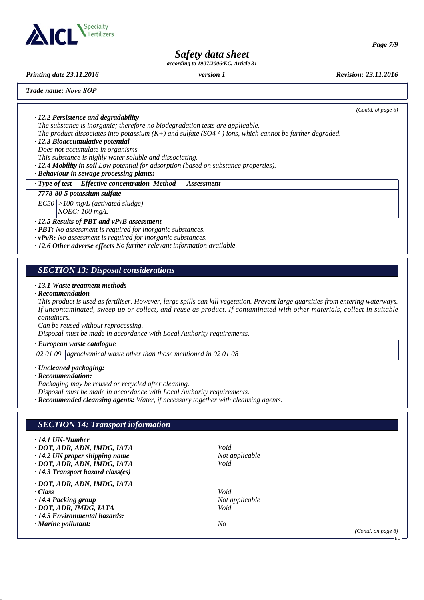

*Page 7/9*

# *Safety data sheet*

*according to 1907/2006/EC, Article 31*

*Printing date 23.11.2016 version 1 Revision: 23.11.2016*

*Trade name: Nova SOP*

*(Contd. of page 6)*

*· 12.2 Persistence and degradability*

*The substance is inorganic; therefore no biodegradation tests are applicable.*

*The product dissociates into potassium (K+) and sulfate (SO4 ²-) ions, which cannot be further degraded.*

*· 12.3 Bioaccumulative potential*

*Does not accumulate in organisms*

*This substance is highly water soluble and dissociating.*

*· 12.4 Mobility in soil Low potential for adsorption (based on substance properties).*

*· Behaviour in sewage processing plants:*

*· Type of test Effective concentration Method Assessment*

#### *7778-80-5 potassium sulfate*

*EC50 >100 mg/L (activated sludge)*

*NOEC: 100 mg/L*

#### *· 12.5 Results of PBT and vPvB assessment*

*· PBT: No assessment is required for inorganic substances.*

*· vPvB: No assessment is required for inorganic substances.*

*· 12.6 Other adverse effects No further relevant information available.*

# *SECTION 13: Disposal considerations*

#### *· 13.1 Waste treatment methods*

#### *· Recommendation*

*This product is used as fertiliser. However, large spills can kill vegetation. Prevent large quantities from entering waterways. If uncontaminated, sweep up or collect, and reuse as product. If contaminated with other materials, collect in suitable containers.*

*Can be reused without reprocessing.*

*Disposal must be made in accordance with Local Authority requirements.*

#### *· European waste catalogue*

*02 01 09 agrochemical waste other than those mentioned in 02 01 08*

#### *· Uncleaned packaging:*

#### *· Recommendation:*

*Packaging may be reused or recycled after cleaning.*

*Disposal must be made in accordance with Local Authority requirements.*

*· Recommended cleansing agents: Water, if necessary together with cleansing agents.*

# *SECTION 14: Transport information*

#### *· 14.1 UN-Number*

- *· DOT, ADR, ADN, IMDG, IATA Void*
- *· 14.2 UN proper shipping name Not applicable*
- *· DOT, ADR, ADN, IMDG, IATA Void*
- *· 14.3 Transport hazard class(es)*
- *· DOT, ADR, ADN, IMDG, IATA*
- *· Class Void*
- *· 14.4 Packing group Not applicable*
- *· DOT, ADR, IMDG, IATA Void*
- *· 14.5 Environmental hazards:*
- *· Marine pollutant: No*
- 
- 

*(Contd. on page 8)*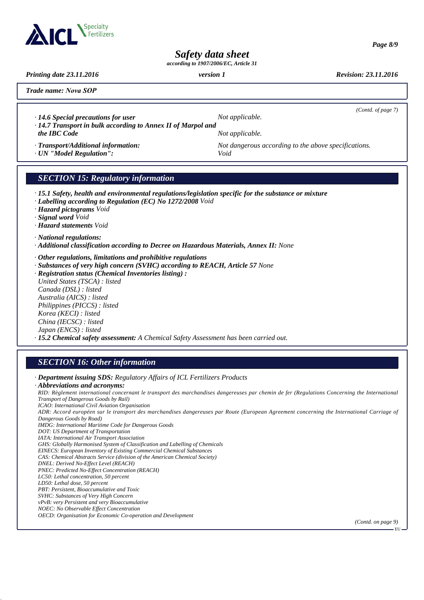

*Page 8/9*

*Safety data sheet*

*according to 1907/2006/EC, Article 31*

*Printing date 23.11.2016 version 1 Revision: 23.11.2016*

*Trade name: Nova SOP*

*· 14.6 Special precautions for user Not applicable. · 14.7 Transport in bulk according to Annex II of Marpol and*

*(Contd. of page 7)*

*the IBC Code Not applicable.* 

*· Transport/Additional information: Not dangerous according to the above specifications.*

*· UN "Model Regulation": Void*

# *SECTION 15: Regulatory information*

- *· 15.1 Safety, health and environmental regulations/legislation specific for the substance or mixture*
- *· Labelling according to Regulation (EC) No 1272/2008 Void*
- *· Hazard pictograms Void*
- *· Signal word Void*
- *· Hazard statements Void*

#### *· National regulations:*

- *· Additional classification according to Decree on Hazardous Materials, Annex II: None*
- *· Other regulations, limitations and prohibitive regulations*
- *· Substances of very high concern (SVHC) according to REACH, Article 57 None*
- *· Registration status (Chemical Inventories listing) :*

*United States (TSCA) : listed Canada (DSL) : listed Australia (AICS) : listed Philippines (PICCS) : listed Korea (KECI) : listed China (IECSC) : listed Japan (ENCS) : listed · 15.2 Chemical safety assessment: A Chemical Safety Assessment has been carried out.*

## *SECTION 16: Other information*

- *· Department issuing SDS: Regulatory Affairs of ICL Fertilizers Products*
- *· Abbreviations and acronyms: RID: Règlement international concernant le transport des marchandises dangereuses par chemin de fer (Regulations Concerning the International Transport of Dangerous Goods by Rail) ICAO: International Civil Aviation Organisation ADR: Accord européen sur le transport des marchandises dangereuses par Route (European Agreement concerning the International Carriage of Dangerous Goods by Road) IMDG: International Maritime Code for Dangerous Goods DOT: US Department of Transportation IATA: International Air Transport Association GHS: Globally Harmonised System of Classification and Labelling of Chemicals EINECS: European Inventory of Existing Commercial Chemical Substances CAS: Chemical Abstracts Service (division of the American Chemical Society) DNEL: Derived No-Effect Level (REACH) PNEC: Predicted No-Effect Concentration (REACH) LC50: Lethal concentration, 50 percent LD50: Lethal dose, 50 percent PBT: Persistent, Bioaccumulative and Toxic SVHC: Substances of Very High Concern vPvB: very Persistent and very Bioaccumulative*
	- *NOEC: No Observable Effect Concentration*
	- *OECD: Organisation for Economic Co-operation and Development*

*(Contd. on page 9)*

 $E_{\rm HL}$